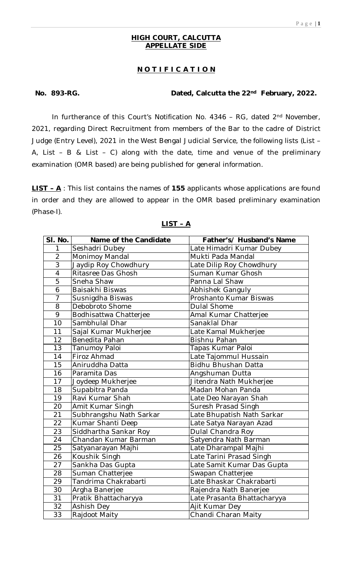## **HIGH COURT, CALCUTTA APPELLATE SIDE**

# **N O T I F I C A T I O N**

### **No. 893-RG. Dated, Calcutta the 22nd February, 2022.**

In furtherance of this Court's Notification No. 4346 – RG, dated 2nd November, 2021, regarding Direct Recruitment from members of the Bar to the cadre of District Judge (Entry Level), 2021 in the West Bengal Judicial Service, the following lists (List – A, List – B & List – C) along with the date, time and venue of the preliminary examination (OMR based) are being published for general information.

**LIST – A** : This list contains the names of **155** applicants whose applications are found in order and they are allowed to appear in the OMR based preliminary examination (Phase-I).

| SI. No.         | Name of the Candidate   | Father's/ Husband's Name    |
|-----------------|-------------------------|-----------------------------|
| 1               | Seshadri Dubey          | Late Himadri Kumar Dubey    |
| $\overline{2}$  | Monimoy Mandal          | Mukti Pada Mandal           |
| $\overline{3}$  | Jaydip Roy Chowdhury    | Late Dilip Roy Chowdhury    |
| $\overline{4}$  | Ritasree Das Ghosh      | Suman Kumar Ghosh           |
| $\overline{5}$  | Sneha Shaw              | Panna Lal Shaw              |
| $\overline{6}$  | Baisakhi Biswas         | Abhishek Ganguly            |
| $\overline{7}$  | Susnigdha Biswas        | Proshanto Kumar Biswas      |
| $\overline{8}$  | Debobroto Shome         | <b>Dulal Shome</b>          |
| 9               | Bodhisattwa Chatterjee  | Amal Kumar Chatterjee       |
| 10              | Sambhulal Dhar          | Sanaklal Dhar               |
| 11              | Sajal Kumar Mukherjee   | Late Kamal Mukherjee        |
| 12              | Benedita Pahan          | <b>Bishnu Pahan</b>         |
| 13              | Tanumoy Paloi           | Tapas Kumar Paloi           |
| 14              | Firoz Ahmad             | Late Tajommul Hussain       |
| 15              | Aniruddha Datta         | Bidhu Bhushan Datta         |
| 16              | Paramita Das            | Angshuman Dutta             |
| 17              | Joydeep Mukherjee       | Jitendra Nath Mukherjee     |
| 18              | Supabitra Panda         | Madan Mohan Panda           |
| 19              | Ravi Kumar Shah         | Late Deo Narayan Shah       |
| 20              | Amit Kumar Singh        | Suresh Prasad Singh         |
| $\overline{21}$ | Subhrangshu Nath Sarkar | Late Bhupatish Nath Sarkar  |
| 22              | Kumar Shanti Deep       | Late Satya Narayan Azad     |
| 23              | Siddhartha Sankar Roy   | Dulal Chandra Roy           |
| 24              | Chandan Kumar Barman    | Satyendra Nath Barman       |
| 25              | Satyanarayan Majhi      | Late Dharampal Majhi        |
| 26              | Koushik Singh           | Late Tarini Prasad Singh    |
| 27              | Sankha Das Gupta        | Late Samit Kumar Das Gupta  |
| 28              | Suman Chatterjee        | Swapan Chatterjee           |
| 29              | Tandrima Chakrabarti    | Late Bhaskar Chakrabarti    |
| 30              | Argha Banerjee          | Rajendra Nath Banerjee      |
| $\overline{31}$ | Pratik Bhattacharyya    | Late Prasanta Bhattacharyya |
| 32              | Ashish Dey              | Ajit Kumar Dey              |
| $\overline{33}$ | Rajdoot Maity           | Chandi Charan Maity         |

#### **LIST – A**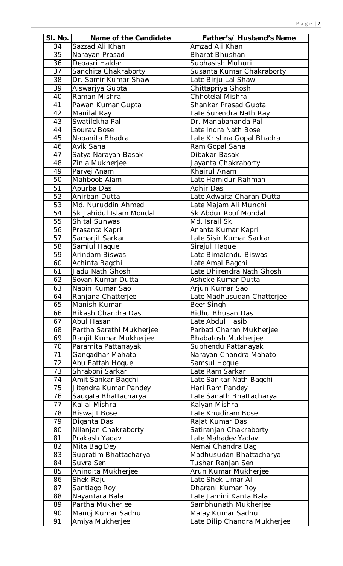| SI. No.  | Name of the Candidate     | Father's/ Husband's Name     |
|----------|---------------------------|------------------------------|
| 34       | Sazzad Ali Khan           | Amzad Ali Khan               |
| 35       | Narayan Prasad            | <b>Bharat Bhushan</b>        |
| 36       | Debasri Haldar            | Subhasish Muhuri             |
| 37       | Sanchita Chakraborty      | Susanta Kumar Chakraborty    |
| 38       | Dr. Samir Kumar Shaw      | Late Birju Lal Shaw          |
| 39       | Aiswarjya Gupta           | Chittapriya Ghosh            |
| 40       | Raman Mishra              | Chhotelal Mishra             |
| 41       | Pawan Kumar Gupta         | Shankar Prasad Gupta         |
| 42       | Manilal Ray               | Late Surendra Nath Ray       |
| 43       | Swatilekha Pal            | Dr. Manabananda Pal          |
| 44       | Sourav Bose               | Late Indra Nath Bose         |
|          |                           |                              |
| 45       | Nabanita Bhadra           | Late Krishna Gopal Bhadra    |
| 46       | Avik Saha                 | Ram Gopal Saha               |
| 47       | Satya Narayan Basak       | Dibakar Basak                |
| 48       | Zinia Mukherjee           | Jayanta Chakraborty          |
| 49       | Parvej Anam               | Khairul Anam                 |
| 50       | Mahboob Alam              | Late Hamidur Rahman          |
| 51       | Apurba Das                | Adhir Das                    |
| 52       | Anirban Dutta             | Late Adwaita Charan Dutta    |
| 53       | Md. Nuruddin Ahmed        | Late Majam Ali Munchi        |
| 54       | Sk Jahidul Islam Mondal   | Sk Abdur Rouf Mondal         |
| 55       | <b>Shital Sunwas</b>      | Md. Israil Sk.               |
| 56       | Prasanta Kapri            | Ananta Kumar Kapri           |
| 57       | Samarjit Sarkar           | Late Sisir Kumar Sarkar      |
| 58       | Samiul Haque              | Sirajul Haque                |
| 59       | <b>Arindam Biswas</b>     | Late Bimalendu Biswas        |
| 60       | Achinta Bagchi            | Late Amal Bagchi             |
| 61       | Jadu Nath Ghosh           | Late Dhirendra Nath Ghosh    |
| 62       | Sovan Kumar Dutta         | Ashoke Kumar Dutta           |
| 63       | Nabin Kumar Sao           | Arjun Kumar Sao              |
| 64       | Ranjana Chatterjee        | Late Madhusudan Chatterjee   |
| 65       | Manish Kumar              | Beer Singh                   |
| 66       | <b>Bikash Chandra Das</b> | <b>Bidhu Bhusan Das</b>      |
| 67       | Abul Hasan                | Late Abdul Hasib             |
| 68       | Partha Sarathi Mukherjee  | Parbati Charan Mukherjee     |
| 69       | Ranjit Kumar Mukherjee    | <b>Bhabatosh Mukherjee</b>   |
| 70       | Paramita Pattanayak       | Subhendu Pattanayak          |
| 71       | Gangadhar Mahato          | Narayan Chandra Mahato       |
| 72       | Abu Fattah Hoque          | Samsul Hoque                 |
| 73       | Shraboni Sarkar           | Late Ram Sarkar              |
| 74       | Amit Sankar Bagchi        | Late Sankar Nath Bagchi      |
| 75       | Jitendra Kumar Pandey     | Hari Ram Pandey              |
| 76       | Saugata Bhattacharya      | Late Sanath Bhattacharya     |
| 77       | Kallal Mishra             | Kalyan Mishra                |
| 78       | <b>Biswajit Bose</b>      | Late Khudiram Bose           |
| 79       | Diganta Das               | Rajat Kumar Das              |
| 80       | Nilanjan Chakraborty      | Satiranjan Chakraborty       |
| 81       | Prakash Yadav             | Late Mahadev Yadav           |
| 82       | Mita Bag Dey              | Nemai Chandra Bag            |
| 83       | Supratim Bhattacharya     | Madhusudan Bhattacharya      |
| 84       | Suvra Sen                 | Tushar Ranjan Sen            |
| 85       | Anindita Mukherjee        | Arun Kumar Mukherjee         |
| 86       | Shek Raju                 | Late Shek Umar Ali           |
| 87       | Santiago Roy              | Dharani Kumar Roy            |
|          |                           |                              |
| 88<br>89 | Nayantara Bala            | Late Jamini Kanta Bala       |
|          | Partha Mukherjee          | Sambhunath Mukherjee         |
| 90       | Manoj Kumar Sadhu         | Malay Kumar Sadhu            |
| 91       | Amiya Mukherjee           | Late Dilip Chandra Mukherjee |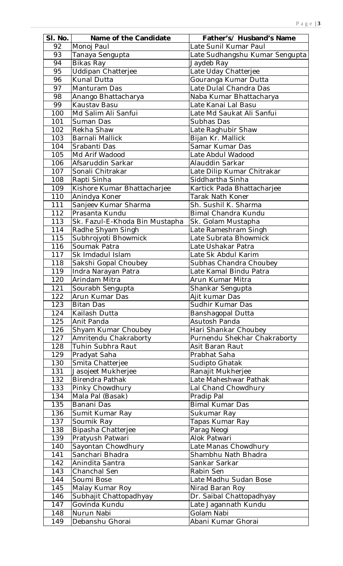| SI. No. | Name of the Candidate          | Father's/ Husband's Name       |
|---------|--------------------------------|--------------------------------|
| 92      | Monoj Paul                     | Late Sunil Kumar Paul          |
| 93      | Tanaya Sengupta                | Late Sudhangshu Kumar Sengupta |
| 94      | Bikas Ray                      | Jaydeb Ray                     |
| 95      | <b>Uddipan Chatterjee</b>      | Late Uday Chatterjee           |
| 96      | Kunal Dutta                    | Gouranga Kumar Dutta           |
| 97      | Manturam Das                   | Late Dulal Chandra Das         |
| 98      | Anango Bhattacharya            | Naba Kumar Bhattacharya        |
| 99      | Kaustav Basu                   | Late Kanai Lal Basu            |
| 100     | Md Salim Ali Sanfui            | Late Md Saukat Ali Sanfui      |
| 101     | Suman Das                      | Subhas Das                     |
| 102     | Rekha Shaw                     |                                |
|         |                                | Late Raghubir Shaw             |
| 103     | Barnali Mallick                | Bijan Kr. Mallick              |
| 104     | Srabanti Das                   | Samar Kumar Das                |
| 105     | Md Arif Wadood                 | Late Abdul Wadood              |
| 106     | Afsaruddin Sarkar              | Alauddin Sarkar                |
| 107     | Sonali Chitrakar               | Late Dilip Kumar Chitrakar     |
| 108     | Rapti Sinha                    | Siddhartha Sinha               |
| 109     | Kishore Kumar Bhattacharjee    | Kartick Pada Bhattacharjee     |
| 110     | Anindya Koner                  | Tarak Nath Koner               |
| 111     | Sanjeev Kumar Sharma           | Sh. Sushil K. Sharma           |
| 112     | Prasanta Kundu                 | Bimal Chandra Kundu            |
| 113     | Sk. Fazul-E-Khoda Bin Mustapha | Sk. Golam Mustapha             |
| 114     | Radhe Shyam Singh              | Late Rameshram Singh           |
| 115     | Subhrojyoti Bhowmick           | Late Subrata Bhowmick          |
| 116     | Soumak Patra                   | Late Ushakar Patra             |
| 117     | Sk Imdadul Islam               | Late Sk Abdul Karim            |
| 118     | Sakshi Gopal Choubey           | Subhas Chandra Choubey         |
| 119     | Indra Narayan Patra            | Late Kamal Bindu Patra         |
| 120     | Arindam Mitra                  | Arun Kumar Mitra               |
| 121     | Sourabh Sengupta               | Shankar Sengupta               |
| 122     | Arun Kumar Das                 | Ajit kumar Das                 |
| 123     | <b>Bitan Das</b>               | Sudhir Kumar Das               |
| 124     | Kailash Dutta                  | Banshagopal Dutta              |
| 125     | Anit Panda                     | Asutosh Panda                  |
| 126     | Shyam Kumar Choubey            | Hari Shankar Choubey           |
| 127     | Amritendu Chakraborty          | Purnendu Shekhar Chakraborty   |
| 128     | Tuhin Subhra Raut              | Asit Baran Raut                |
| 129     | Pradyat Saha                   | Prabhat Saha                   |
| 130     | Smita Chatterjee               | Sudipto Ghatak                 |
| 131     | Jasojeet Mukherjee             | Ranajit Mukherjee              |
| 132     | Birendra Pathak                | Late Maheshwar Pathak          |
| 133     | Pinky Chowdhury                | Lal Chand Chowdhury            |
| 134     | Mala Pal (Basak)               | Pradip Pal                     |
| 135     | Banani Das                     | <b>Bimal Kumar Das</b>         |
|         |                                |                                |
| 136     | Sumit Kumar Ray                | Sukumar Ray                    |
| 137     | Soumik Ray                     | Tapas Kumar Ray                |
| 138     | Bipasha Chatterjee             | Parag Neogi                    |
| 139     | Pratyush Patwari               | Alok Patwari                   |
| 140     | Sayontan Chowdhury             | Late Manas Chowdhury           |
| 141     | Sanchari Bhadra                | Shambhu Nath Bhadra            |
| 142     | Anindita Santra                | Sankar Sarkar                  |
| 143     | Chanchal Sen                   | Rabin Sen                      |
| 144     | Soumi Bose                     | Late Madhu Sudan Bose          |
| 145     | Malay Kumar Roy                | Nirad Baran Roy                |
| 146     | Subhajit Chattopadhyay         | Dr. Saibal Chattopadhyay       |
| 147     | Govinda Kundu                  | Late Jagannath Kundu           |
| 148     | Nurun Nabi                     | Golam Nabi                     |
| 149     | Debanshu Ghorai                | Abani Kumar Ghorai             |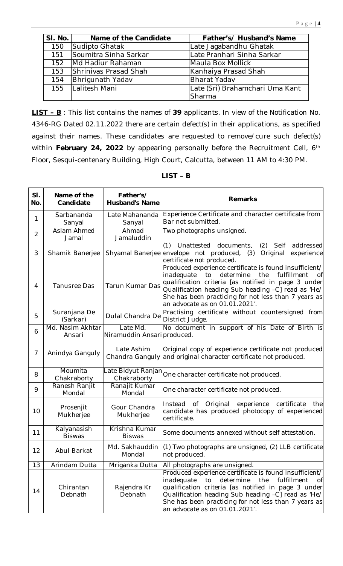| SI. No. | Name of the Candidate   | Father's/ Husband's Name        |
|---------|-------------------------|---------------------------------|
| 150     | Sudipto Ghatak          | Late Jagabandhu Ghatak          |
| 151     | Soumitra Sinha Sarkar   | Late Pranhari Sinha Sarkar      |
| 152     | Md Hadiur Rahaman       | Maula Box Mollick               |
| 153     | Shrinivas Prasad Shah   | Kanhaiya Prasad Shah            |
| 154     | <b>Bhrigunath Yadav</b> | Bharat Yadav                    |
| 155     | Lalitesh Mani           | Late (Sri) Brahamchari Uma Kant |
|         |                         | Sharma                          |

**LIST – B** : This list contains the names of **39** applicants. In view of the Notification No. 4346-RG Dated 02.11.2022 there are certain defect(s) in their applications, as specified against their names. These candidates are requested to remove/cure such defect(s) within **February 24, 2022** by appearing personally before the Recruitment Cell, 6th Floor, Sesqui-centenary Building, High Court, Calcutta, between 11 AM to 4:30 PM.

| SI.<br>No.     | Name of the<br>Candidate     | Father's/<br><b>Husband's Name</b>      | <b>Remarks</b>                                                                                                                                                                                                                                                                                                             |
|----------------|------------------------------|-----------------------------------------|----------------------------------------------------------------------------------------------------------------------------------------------------------------------------------------------------------------------------------------------------------------------------------------------------------------------------|
| 1              | Sarbananda<br>Sanyal         | Late Mahananda<br>Sanyal                | Experience Certificate and character certificate from<br>Bar not submitted.                                                                                                                                                                                                                                                |
| $\overline{2}$ | Aslam Ahmed<br>Jamal         | Ahmad<br>Jamaluddin                     | Two photographs unsigned.                                                                                                                                                                                                                                                                                                  |
| 3              | Shamik Banerjee              | Shyamal Banerjee                        | (2)<br>addressed<br>(1)<br>Unattested documents,<br>Self<br>envelope not produced, (3) Original<br>experience<br>certificate not produced.                                                                                                                                                                                 |
| 4              | <b>Tanusree Das</b>          | Tarun Kumar Das                         | Produced experience certificate is found insufficient/<br>determine<br>the<br>fulfillment<br>inadequate<br>to<br>Οf<br>qualification criteria [as notified in page 3 under<br>Qualification heading Sub heading -C] read as 'He/<br>She has been practicing for not less than 7 years as<br>an advocate as on 01.01.2021'. |
| 5              | Suranjana De<br>(Sarkar)     | Dulal Chandra De                        | Practising certificate without countersigned from<br>District Judge.                                                                                                                                                                                                                                                       |
| 6              | Md. Nasim Akhtar<br>Ansari   | Late Md.<br>Niramuddin Ansari produced. | No document in support of his Date of Birth is                                                                                                                                                                                                                                                                             |
| $\overline{7}$ | Anindya Ganguly              | Late Ashim<br>Chandra Ganguly           | Original copy of experience certificate not produced<br>and original character certificate not produced.                                                                                                                                                                                                                   |
| 8              | Moumita<br>Chakraborty       | Late Bidyut Ranjan<br>Chakraborty       | One character certificate not produced.                                                                                                                                                                                                                                                                                    |
| 9              | Ranesh Ranjit<br>Mondal      | Ranajit Kumar<br>Mondal                 | One character certificate not produced.                                                                                                                                                                                                                                                                                    |
| 10             | Prosenjit<br>Mukherjee       | Gour Chandra<br>Mukherjee               | Instead of Original<br>certificate<br>experience<br>the<br>candidate has produced photocopy of experienced<br>certificate.                                                                                                                                                                                                 |
| 11             | Kalyanasish<br><b>Biswas</b> | Krishna Kumar<br><b>Biswas</b>          | Some documents annexed without self attestation.                                                                                                                                                                                                                                                                           |
| 12             | Abul Barkat                  | Md. Sakhauddin<br>Mondal                | (1) Two photographs are unsigned, (2) LLB certificate<br>not produced.                                                                                                                                                                                                                                                     |
| 13             | Arindam Dutta                | Mriganka Dutta                          | All photographs are unsigned.                                                                                                                                                                                                                                                                                              |
| 14             | Chirantan<br>Debnath         | Rajendra Kr<br>Debnath                  | Produced experience certificate is found insufficient/<br>inadequate<br>determine<br>the<br>fulfillment<br>to<br>0f<br>qualification criteria [as notified in page 3 under<br>Qualification heading Sub heading -C] read as 'He/<br>She has been practicing for not less than 7 years as<br>an advocate as on 01.01.2021'. |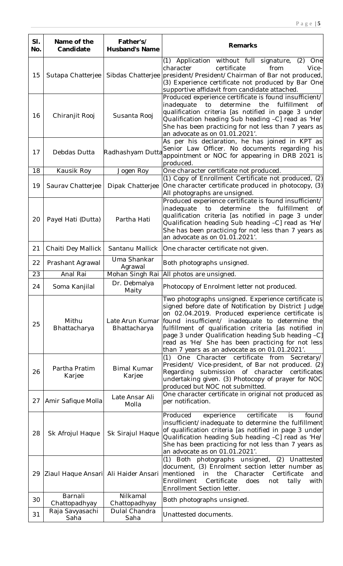| SI.<br>No. | Name of the<br>Candidate             | Father's/<br><b>Husband's Name</b> | <b>Remarks</b>                                                                                                                                                                                                                                                                                                                                                                                                                            |
|------------|--------------------------------------|------------------------------------|-------------------------------------------------------------------------------------------------------------------------------------------------------------------------------------------------------------------------------------------------------------------------------------------------------------------------------------------------------------------------------------------------------------------------------------------|
| 15         | Sutapa Chatterjee                    | Sibdas Chatterjee                  | (1) Application without full signature,<br>(2)<br>One<br>certificate<br>character<br>from<br>Vice-<br>president/President/Chairman of Bar not produced,<br>(3) Experience certificate not produced by Bar One<br>supportive affidavit from candidate attached.                                                                                                                                                                            |
| 16         | Chiranjit Rooj                       | Susanta Rooj                       | Produced experience certificate is found insufficient/<br>determine<br>fulfillment<br>inadequate<br>to<br>the<br>Οf<br>qualification criteria [as notified in page 3 under<br>Qualification heading Sub heading -C] read as 'He/<br>She has been practicing for not less than 7 years as<br>an advocate as on 01.01.2021'.                                                                                                                |
| 17         | Debdas Dutta                         | Radhashyam Dutta                   | As per his declaration, he has joined in KPT as<br>Senior Law Officer. No documents regarding his<br>appointment or NOC for appearing in DRB 2021 is<br>produced.                                                                                                                                                                                                                                                                         |
| 18         | Kausik Roy                           | Jogen Roy                          | One character certificate not produced.                                                                                                                                                                                                                                                                                                                                                                                                   |
| 19         | Saurav Chatterjee                    | Dipak Chatterjee                   | (1) Copy of Enrollment Certificate not produced, (2)<br>One character certificate produced in photocopy, (3)<br>All photographs are unsigned.                                                                                                                                                                                                                                                                                             |
| 20         | Payel Hati (Dutta)                   | Partha Hati                        | Produced experience certificate is found insufficient/<br>determine<br>inadequate<br>to<br>the<br>fulfillment<br>Οf<br>qualification criteria [as notified in page 3 under<br>Qualification heading Sub heading -C] read as 'He/<br>She has been practicing for not less than 7 years as<br>an advocate as on 01.01.2021'.                                                                                                                |
| 21         | Chaiti Dey Mallick                   | Santanu Mallick                    | One character certificate not given.                                                                                                                                                                                                                                                                                                                                                                                                      |
| 22         | Prashant Agrawal                     | Uma Shankar<br>Agrawal             | Both photographs unsigned.                                                                                                                                                                                                                                                                                                                                                                                                                |
| 23         | Anal Rai                             | Mohan Singh Rai                    | All photos are unsigned.                                                                                                                                                                                                                                                                                                                                                                                                                  |
| 24         | Soma Kanjilal                        | Dr. Debmalya<br>Maity              | Photocopy of Enrolment letter not produced.                                                                                                                                                                                                                                                                                                                                                                                               |
| 25         | Mithu<br>Bhattacharya                | Late Arun Kumar<br>Bhattacharya    | Two photographs unsigned. Experience certificate is<br>signed before date of Notification by District Judge<br>on 02.04.2019. Produced experience certificate is<br>found insufficient/ inadequate to determine the<br>fulfillment of qualification criteria [as notified in<br>page 3 under Qualification heading Sub heading -C]<br>read as 'He/ She has been practicing for not less<br>than 7 years as an advocate as on 01.01.2021'. |
| 26         | Partha Pratim<br>Karjee              | <b>Bimal Kumar</b><br>Karjee       | One Character certificate from Secretary/<br>(1)<br>President/ Vice-president, of Bar not produced. (2)<br>submission of character certificates<br>Regarding<br>undertaking given. (3) Photocopy of prayer for NOC<br>produced but NOC not submitted.                                                                                                                                                                                     |
| 27         | Amir Safique Molla                   | Late Ansar Ali<br>Molla            | One character certificate in original not produced as<br>per notification.                                                                                                                                                                                                                                                                                                                                                                |
| 28         | Sk Afrojul Haque                     | Sk Sirajul Haque                   | certificate<br>experience<br>Produced<br>is<br>found<br>insufficient/inadequate to determine the fulfillment<br>of qualification criteria [as notified in page 3 under<br>Qualification heading Sub heading -C] read as 'He/<br>She has been practicing for not less than 7 years as<br>an advocate as on 01.01.2021'.                                                                                                                    |
| 29         | Ziaul Haque Ansari Ali Haider Ansari |                                    | (2) Unattested<br>(1) Both photographs unsigned,<br>document, (3) Enrolment section letter number as<br>Character<br>mentioned<br>the<br>Certificate<br>in<br>and<br>Enrollment<br>Certificate<br>does<br>with<br>not<br>tally<br>Enrollment Section letter.                                                                                                                                                                              |
| 30         | Barnali<br>Chattopadhyay             | Nilkamal<br>Chattopadhyay          | Both photographs unsigned.                                                                                                                                                                                                                                                                                                                                                                                                                |
| 31         | Raja Savyasachi<br>Saha              | Dulal Chandra<br>Saha              | Unattested documents.                                                                                                                                                                                                                                                                                                                                                                                                                     |
|            |                                      |                                    |                                                                                                                                                                                                                                                                                                                                                                                                                                           |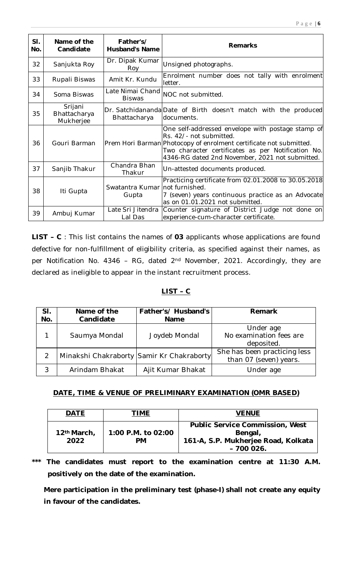| SI.<br>No. | Name of the<br>Candidate             | Father's/<br><b>Husband's Name</b> | <b>Remarks</b>                                                                                                                                                                                                                                              |
|------------|--------------------------------------|------------------------------------|-------------------------------------------------------------------------------------------------------------------------------------------------------------------------------------------------------------------------------------------------------------|
| 32         | Sanjukta Roy                         | Dr. Dipak Kumar<br>Roy             | Unsigned photographs.                                                                                                                                                                                                                                       |
| 33         | Rupali Biswas                        | Amit Kr. Kundu                     | Enrolment number does not tally with enrolment<br>letter.                                                                                                                                                                                                   |
| 34         | Soma Biswas                          | Late Nimai Chand<br><b>Biswas</b>  | NOC not submitted.                                                                                                                                                                                                                                          |
| 35         | Srijani<br>Bhattacharya<br>Mukherjee | Bhattacharya                       | Dr. Satchidananda Date of Birth doesn't match with the produced<br>documents.                                                                                                                                                                               |
| 36         | Gouri Barman                         |                                    | One self-addressed envelope with postage stamp of<br>Rs. 42/- not submitted.<br>Prem Hori Barman Photocopy of enrolment certificate not submitted.<br>Two character certificates as per Notification No.<br>4346-RG dated 2nd November, 2021 not submitted. |
| 37         | Sanjib Thakur                        | Chandra Bhan<br>Thakur             | Un-attested documents produced.                                                                                                                                                                                                                             |
| 38         | Iti Gupta                            | Swatantra Kumar<br>Gupta           | Practicing certificate from 02.01.2008 to 30.05.2018<br>not furnished.<br>7 (seven) years continuous practice as an Advocate<br>as on 01.01.2021 not submitted.                                                                                             |
| 39         | Ambuj Kumar                          | Late Sri Jitendra<br>Lal Das       | Counter signature of District Judge not done on<br>experience-cum-character certificate.                                                                                                                                                                    |

**LIST – C** : This list contains the names of **03** applicants whose applications are found defective for non-fulfillment of eligibility criteria, as specified against their names, as per Notification No. 4346 - RG, dated 2<sup>nd</sup> November, 2021. Accordingly, they are declared as ineligible to appear in the instant recruitment process.

# **LIST – C**

| SI.<br>No. | Name of the<br>Candidate                  | Father's/ Husband's<br><b>Name</b> | <b>Remark</b>                                          |
|------------|-------------------------------------------|------------------------------------|--------------------------------------------------------|
| 1          | Saumya Mondal                             | Joydeb Mondal                      | Under age<br>No examination fees are<br>deposited.     |
| 2          | Minakshi Chakraborty Samir Kr Chakraborty |                                    | She has been practicing less<br>than 07 (seven) years. |
| 3          | Arindam Bhakat                            | Ajit Kumar Bhakat                  | Under age                                              |

# **DATE, TIME & VENUE OF PRELIMINARY EXAMINATION (OMR BASED)**

| <b>DATE</b>                     | <b>TIME</b>                     | <b>VENUE</b>                                                                                             |
|---------------------------------|---------------------------------|----------------------------------------------------------------------------------------------------------|
| 12 <sup>th</sup> March,<br>2022 | 1:00 P.M. to 02:00<br><b>PM</b> | <b>Public Service Commission, West</b><br>Bengal,<br>161-A, S.P. Mukherjee Road, Kolkata<br>$-7000026$ . |

**\*\*\* The candidates must report to the examination centre at 11:30 A.M. positively on the date of the examination.** 

**Mere participation in the preliminary test (phase-I) shall not create any equity in favour of the candidates.**